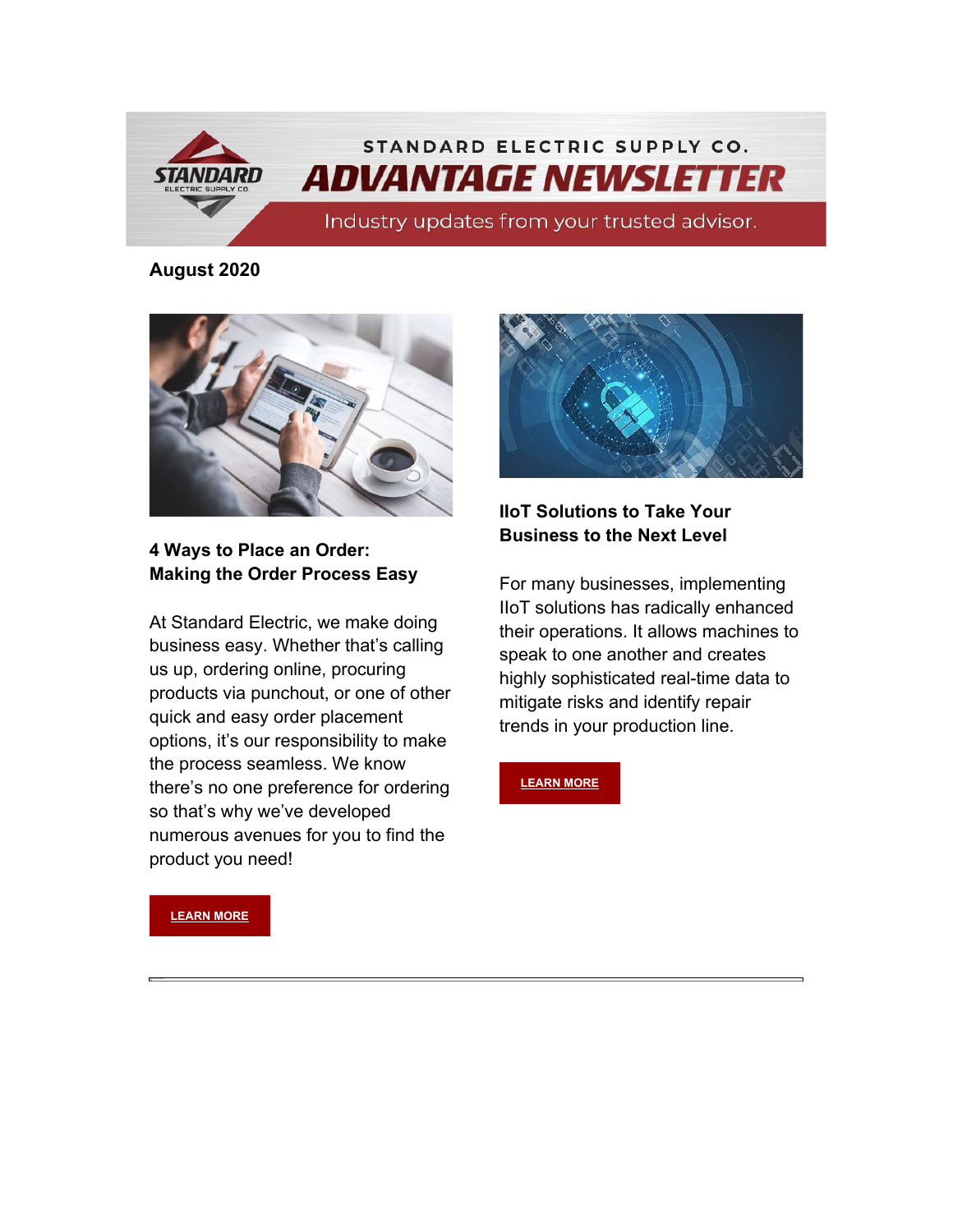

#### **August 2020**



### **4 Ways to Place an Order: Making the Order Process Easy**

At Standard Electric, we make doing business easy. Whether that's calling us up, ordering online, procuring products via punchout, or one of other quick and easy order placement options, it's our responsibility to make the process seamless. We know there's no one preference for ordering so that's why we've developed numerous avenues for you to find the product you need!



## **IIoT Solutions to Take Your Business to the Next Level**

For many businesses, implementing IIoT solutions has radically enhanced their operations. It allows machines to speak to one another and creates highly sophisticated real-time data to mitigate risks and identify repair trends in your production line.

**[LEARN MORE](https://info.standardelectricsupply.com/iiot-solutions-operations)** 

**[LEARN MORE](https://www.standardelectricsupply.com/content/4-ways-place-order/)**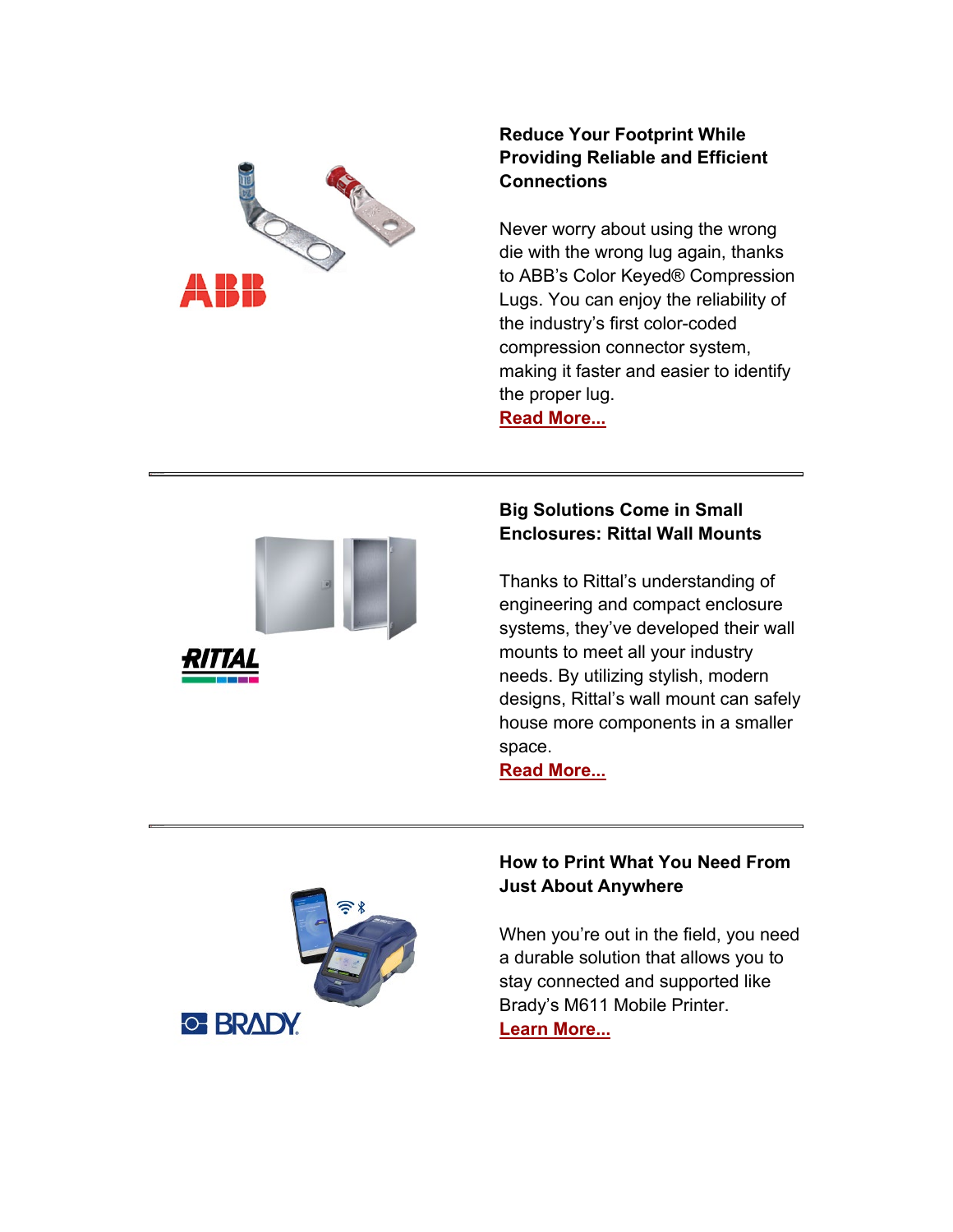

## **Reduce Your Footprint While Providing Reliable and Efficient Connections**

Never worry about using the wrong die with the wrong lug again, thanks to ABB's Color Keyed® Compression Lugs. You can enjoy the reliability of the industry's first color -coded compression connector system, making it faster and easier to identify the proper lug.

**[Read More...](https://info.standardelectricsupply.com/e2t/tc/VWM2Tr1Mw96jW8B1cLJ1m2n1vW48Yhp74fq2j-N2XT73h5nxG7V3Zsc37CgZ3jW8XJ3Gg1P84SDF3NM4B2LWcWW2WDxyC2x00ljW6GHc2t7X_XhtW5dW_qh6cFkgSTh7p-8h13NCW4Pn0hj5y86BjW5-j-g19039yzW8f1Kmk1HXd-CW8b3MC65qzcsrW4X1xk212mLkqW4Chl_N8Hdy-YW5WFVf387tNmqW8bdPDW30ZJYdW8DgjyS1zp_LzW4gm5Pt4yzJqFW3tmb3S2vqL_nW2zxnY64LLNx7W8V94J16jLhdSW1JPM7x8YZ7zCW2P_0pJ7MKk3cW5f72KK2qYvKYN87KwXzVS7M0W5ZGNKZ6XJnJ2W8pY0JB1dHMZGW30XhD96K0bKxV2682v3mLmpnW6rLxs16m4WhLW1ytCV-6nTJlkVw5hrP6g2PjZW70r2tc7dFZQ-W3LsqCf39rPm-31801)**



# **Big Solutions Come in Small Enclosures: Rittal Wall Mounts**

Thanks to Rittal's understanding of engineering and compact enclosure systems, they've developed their wall mounts to meet all your industry needs. By utilizing stylish, modern designs, Rittal's wall mount can safely house more components in a smaller space.

**[Read More...](https://info.standardelectricsupply.com/e2t/tc/VWM2Tr1Mw96jW8B1cLJ1m2n1vW48Yhp74fq2j-N2XT75m3p_b1V1-WJV7CgVmKW9bNL5V6-l9GYV66B_49fr-pRW7xrvWV3NL6lxW6y3GPx7wp_rWW95WS6D4ZSwvVW6Jmb4m6mBBV7W7SfM8y4nKJr5W4yzrzh2jsYy-W5JpmJx4tdKY9W8Ck7vt84LRlQW3bG9J03P-1h9W5d02VK9d0mXkW7H2tSP4TjmWgW4tZDPn40zr4KW6rC9NN6XGm_ZW7m3Yqq1JfV2kN7DJhYqmzLgYN7DppSy3YzqtW7n2MYq5zL46lV12hXW6LkLKtW5SDRvH2NK3dBVBxNPp42DTSjW6JGh5c2Dk1wWW6PZ9mf9lZY1JW2JlN614sBpv_W1cbLDs1d33fBW5YlC6_15_VXtW4WfDQZ52g0ypW1cNqtP8M2xswW2wv95B5J9C3Z3b831)**



### **How to Print What You Need From Just About Anywhere**

When you're out in the field, you need a durable solution that allows you to stay connected and supported like Brady's M611 Mobile Printer. **[Learn More...](https://info.standardelectricsupply.com/e2t/tc/VWM2Tr1Mw96jW8B1cLJ1m2n1vW48Yhp74fq2j-N2XT75m3p_b1V1-WJV7CgCwVW2Ddmfl4Sz56GW7_hhY9977mcNN4NKk0tNRR9_W7jtZ_D5YgCL1W8kjH5w7xTQv-W4_HmTj25CSBMW5k66Kw8gnjhvVnNQTC2fcwDFN4GxyQ59NvHGW1ByQLC6zBmDDW8ZS_N320cGZTW3hbS_Q8X29s4W7Ct3-R25RL1BN6XLM1Z8m1CqW2wxhKM8xlTnzN6Y0cmstMTrPW2RJRkS6j7Y7_W88FMJX1ntPxsW31KVWB1xZgMPW9cN5xM1XH1dKW3p6k5-31RJ7CW2L4CRc92YZMYW8lFsfv649GYfVCYMWj78jV6lW1DMtww6sMNY6W7H5Kkf4LN0qBW6sjY1R8X92F2W2S1BJZ70mGRcW5h2n-W4V-h2gW35G3Gx2brlqV3h5x1)**